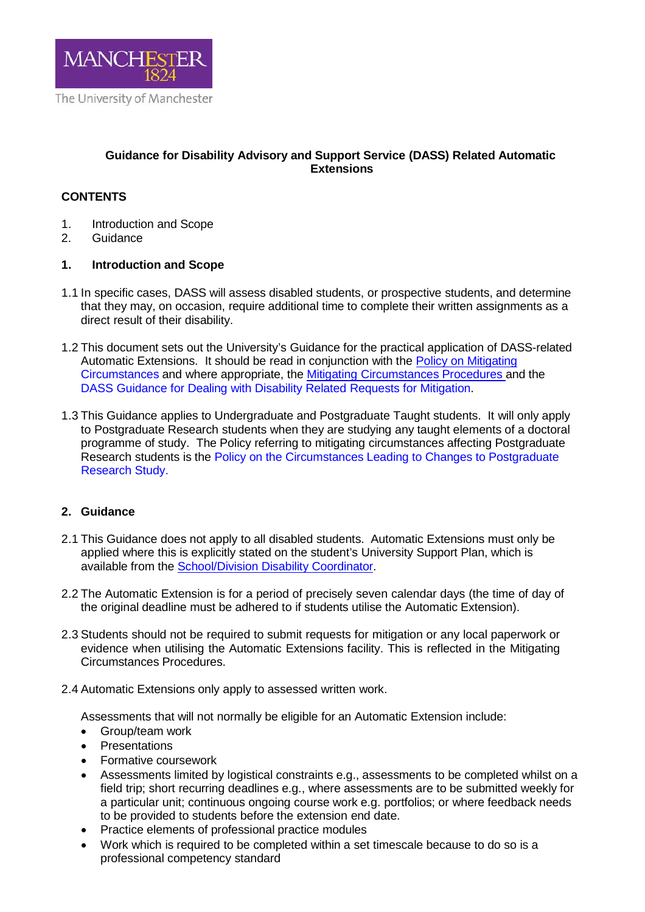

# **Guidance for Disability Advisory and Support Service (DASS) Related Automatic Extensions**

# **CONTENTS**

- 1. Introduction and Scope<br>2. Guidance
- Guidance

### **1. Introduction and Scope**

- 1.1 In specific cases, DASS will assess disabled students, or prospective students, and determine that they may, on occasion, require additional time to complete their written assignments as a direct result of their disability.
- 1.2 This document sets out the University's Guidance for the practical application of DASS-related Automatic Extensions. It should be read in conjunction with the Policy on Mitigating Circumstances and where appropriate, the Mitigating Circumstances Procedures and the DASS Guidance for Dealing with Disability Related Requests for Mitigation.
- 1.3 This Guidance applies to Undergraduate and Postgraduate Taught students. It will only apply to Postgraduate Research students when they are studying any taught elements of a doctoral programme of study. The Policy referring to mitigating circumstances affecting Postgraduate Research students is the Policy on the Circumstances Leading to Changes to Postgraduate Research Study.

### **2. Guidance**

- 2.1 This Guidance does not apply to all disabled students. Automatic Extensions must only be applied where this is explicitly stated on the student's University Support Plan, which is available from the School/Division Disability Coordinator.
- 2.2 The Automatic Extension is for a period of precisely seven calendar days (the time of day of the original deadline must be adhered to if students utilise the Automatic Extension).
- 2.3 Students should not be required to submit requests for mitigation or any local paperwork or evidence when utilising the Automatic Extensions facility. This is reflected in the Mitigating Circumstances Procedures.
- 2.4 Automatic Extensions only apply to assessed written work.

Assessments that will not normally be eligible for an Automatic Extension include:

- Group/team work
- Presentations
- Formative coursework
- Assessments limited by logistical constraints e.g., assessments to be completed whilst on a field trip; short recurring deadlines e.g., where assessments are to be submitted weekly for a particular unit; continuous ongoing course work e.g. portfolios; or where feedback needs to be provided to students before the extension end date.
- Practice elements of professional practice modules
- Work which is required to be completed within a set timescale because to do so is a professional competency standard